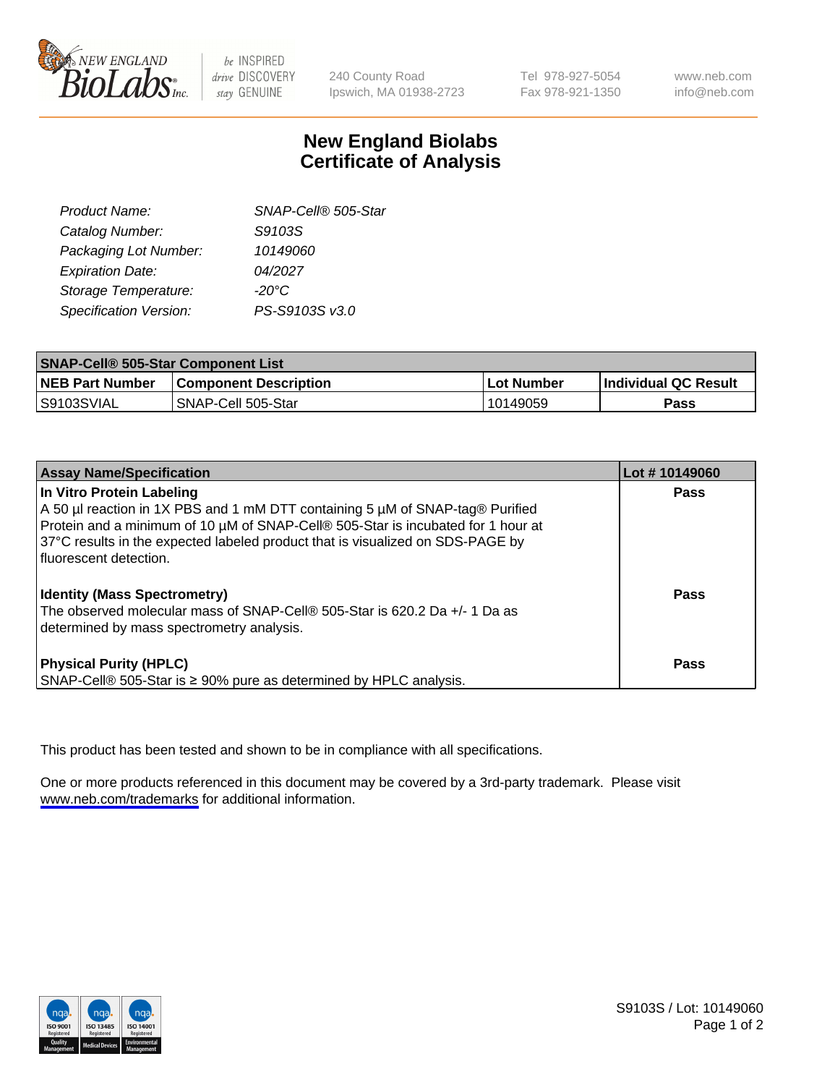

be INSPIRED drive DISCOVERY stay GENUINE

240 County Road Ipswich, MA 01938-2723 Tel 978-927-5054 Fax 978-921-1350

www.neb.com info@neb.com

## **New England Biolabs Certificate of Analysis**

| SNAP-Cell® 505-Star |
|---------------------|
| S9103S              |
| 10149060            |
| 04/2027             |
| $-20^{\circ}$ C     |
| PS-S9103S v3.0      |
|                     |

| <b>SNAP-Cell® 505-Star Component List</b> |                              |             |                             |  |
|-------------------------------------------|------------------------------|-------------|-----------------------------|--|
| <b>NEB Part Number</b>                    | <b>Component Description</b> | ∣Lot Number | <b>Individual QC Result</b> |  |
| S9103SVIAL                                | SNAP-Cell 505-Star           | l 10149059  | Pass                        |  |

| <b>Assay Name/Specification</b>                                                                                                                                                                                                                                                  | Lot #10149060 |
|----------------------------------------------------------------------------------------------------------------------------------------------------------------------------------------------------------------------------------------------------------------------------------|---------------|
| In Vitro Protein Labeling<br>A 50 µl reaction in 1X PBS and 1 mM DTT containing 5 µM of SNAP-tag® Purified<br>Protein and a minimum of 10 µM of SNAP-Cell® 505-Star is incubated for 1 hour at<br>37°C results in the expected labeled product that is visualized on SDS-PAGE by | <b>Pass</b>   |
| I fluorescent detection.<br><b>Identity (Mass Spectrometry)</b><br>The observed molecular mass of SNAP-Cell® 505-Star is 620.2 Da +/- 1 Da as<br>determined by mass spectrometry analysis.                                                                                       | Pass          |
| <b>Physical Purity (HPLC)</b><br>SNAP-Cell® 505-Star is ≥ 90% pure as determined by HPLC analysis.                                                                                                                                                                               | <b>Pass</b>   |

This product has been tested and shown to be in compliance with all specifications.

One or more products referenced in this document may be covered by a 3rd-party trademark. Please visit <www.neb.com/trademarks>for additional information.